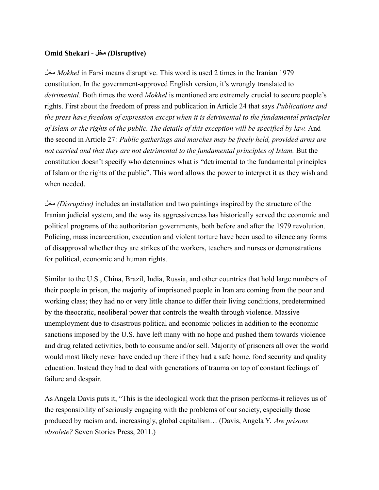## **Omid Shekari - مخل***)* **Disruptive)**

مخل *Mokhel* in Farsi means disruptive. This word is used 2 times in the Iranian 1979 constitution. In the government-approved English version, it's wrongly translated to *detrimental.* Both times the word *Mokhel* is mentioned are extremely crucial to secure people's rights. First about the freedom of press and publication in Article 24 that says *Publications and the press have freedom of expression except when it is detrimental to the fundamental principles of Islam or the rights of the public. The details of this exception will be specified by law.* And the second in Article 27: *Public gatherings and marches may be freely held, provided arms are not carried and that they are not detrimental to the fundamental principles of Islam.* But the constitution doesn't specify who determines what is "detrimental to the fundamental principles of Islam or the rights of the public". This word allows the power to interpret it as they wish and when needed.

مخل*) Disruptive)* includes an installation and two paintings inspired by the structure of the Iranian judicial system, and the way its aggressiveness has historically served the economic and political programs of the authoritarian governments, both before and after the 1979 revolution. Policing, mass incarceration, execution and violent torture have been used to silence any forms of disapproval whether they are strikes of the workers, teachers and nurses or demonstrations for political, economic and human rights.

Similar to the U.S., China, Brazil, India, Russia, and other countries that hold large numbers of their people in prison, the majority of imprisoned people in Iran are coming from the poor and working class; they had no or very little chance to differ their living conditions, predetermined by the theocratic, neoliberal power that controls the wealth through violence. Massive unemployment due to disastrous political and economic policies in addition to the economic sanctions imposed by the U.S. have left many with no hope and pushed them towards violence and drug related activities, both to consume and/or sell. Majority of prisoners all over the world would most likely never have ended up there if they had a safe home, food security and quality education. Instead they had to deal with generations of trauma on top of constant feelings of failure and despair.

As Angela Davis puts it, "This is the ideological work that the prison performs-it relieves us of the responsibility of seriously engaging with the problems of our society, especially those produced by racism and, increasingly, global capitalism… (Davis, Angela Y. *Are prisons obsolete?* Seven Stories Press, 2011.)